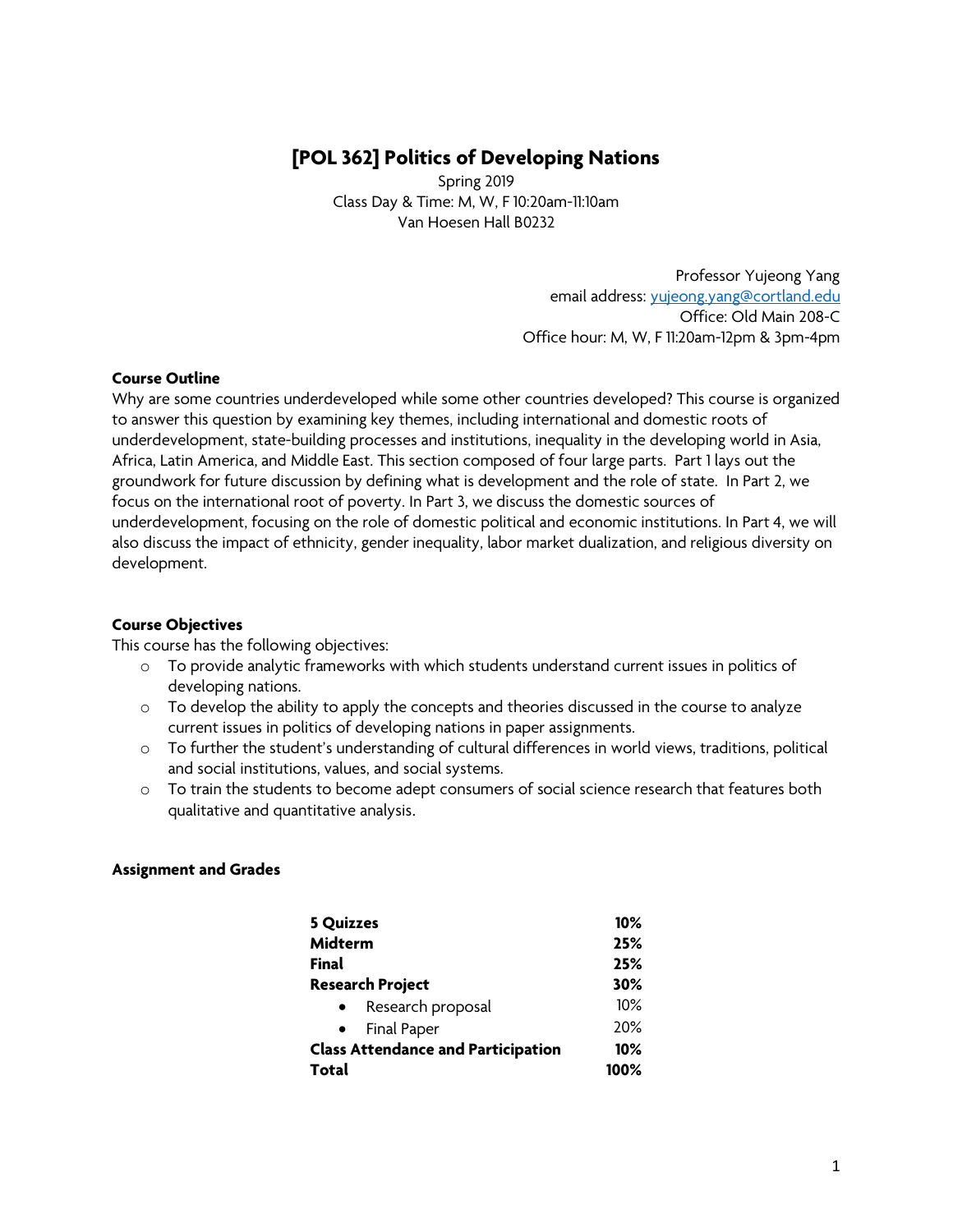# **[POL 362] Politics of Developing Nations**

Spring 2019 Class Day & Time: M, W, F 10:20am-11:10am Van Hoesen Hall B0232

> Professor Yujeong Yang email address: yujeong.yang@cortland.edu Office: Old Main 208-C Office hour: M, W, F 11:20am-12pm & 3pm-4pm

#### **Course Outline**

Why are some countries underdeveloped while some other countries developed? This course is organized to answer this question by examining key themes, including international and domestic roots of underdevelopment, state-building processes and institutions, inequality in the developing world in Asia, Africa, Latin America, and Middle East. This section composed of four large parts. Part 1 lays out the groundwork for future discussion by defining what is development and the role of state. In Part 2, we focus on the international root of poverty. In Part 3, we discuss the domestic sources of underdevelopment, focusing on the role of domestic political and economic institutions. In Part 4, we will also discuss the impact of ethnicity, gender inequality, labor market dualization, and religious diversity on development.

#### **Course Objectives**

This course has the following objectives:

- o To provide analytic frameworks with which students understand current issues in politics of developing nations.
- $\circ$  To develop the ability to apply the concepts and theories discussed in the course to analyze current issues in politics of developing nations in paper assignments.
- $\circ$  To further the student's understanding of cultural differences in world views, traditions, political and social institutions, values, and social systems.
- o To train the students to become adept consumers of social science research that features both qualitative and quantitative analysis.

#### **Assignment and Grades**

| <b>5 Quizzes</b>                          | $10\%$ |  |
|-------------------------------------------|--------|--|
| Midterm                                   | 25%    |  |
| <b>Final</b>                              | 25%    |  |
| <b>Research Project</b>                   | 30%    |  |
| Research proposal<br>$\bullet$            | 10%    |  |
| Final Paper<br>$\bullet$                  | 20%    |  |
| <b>Class Attendance and Participation</b> | $10\%$ |  |
| Total                                     | 100%   |  |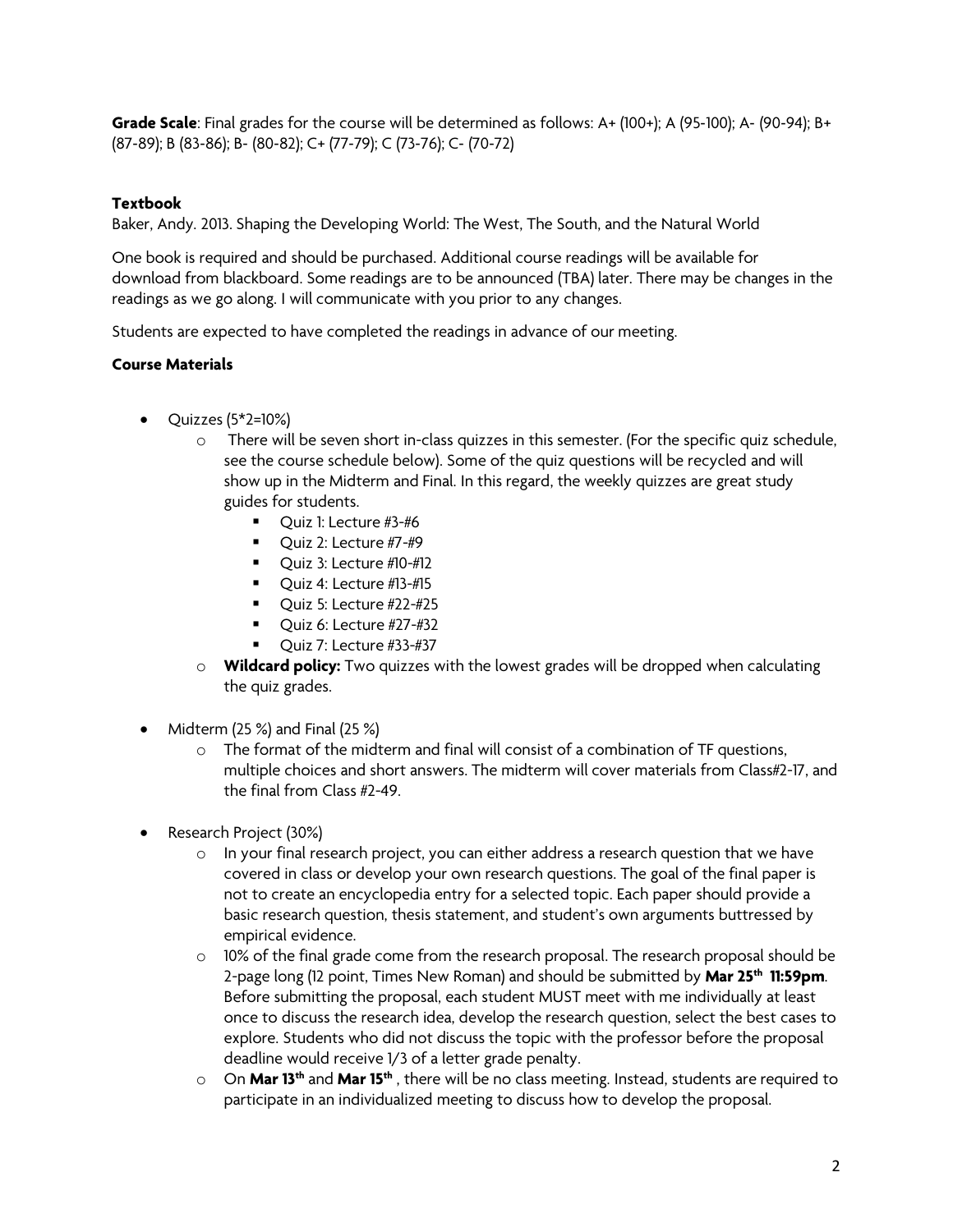**Grade Scale**: Final grades for the course will be determined as follows: A+ (100+); A (95-100); A- (90-94); B+ (87-89); B (83-86); B- (80-82); C+ (77-79); C (73-76); C- (70-72)

### **Textbook**

Baker, Andy. 2013. Shaping the Developing World: The West, The South, and the Natural World

One book is required and should be purchased. Additional course readings will be available for download from blackboard. Some readings are to be announced (TBA) later. There may be changes in the readings as we go along. I will communicate with you prior to any changes.

Students are expected to have completed the readings in advance of our meeting.

### **Course Materials**

- Quizzes (5\*2=10%)
	- $\circ$  There will be seven short in-class quizzes in this semester. (For the specific quiz schedule, see the course schedule below). Some of the quiz questions will be recycled and will show up in the Midterm and Final. In this regard, the weekly quizzes are great study guides for students.
		- Quiz 1: Lecture #3-#6
		- $\blacksquare$  Ouiz 2: Lecture #7-#9
		- Quiz 3: Lecture #10-#12
		- Quiz 4: Lecture #13-#15
		- $\blacksquare$  Quiz 5: Lecture #22-#25
		- Quiz 6: Lecture #27-#32
		- $\blacksquare$  Ouiz 7: Lecture #33-#37
	- o **Wildcard policy:** Two quizzes with the lowest grades will be dropped when calculating the quiz grades.
- Midterm (25 %) and Final (25 %)
	- $\circ$  The format of the midterm and final will consist of a combination of TF questions, multiple choices and short answers. The midterm will cover materials from Class#2-17, and the final from Class #2-49.
- Research Project (30%)
	- $\circ$  In your final research project, you can either address a research question that we have covered in class or develop your own research questions. The goal of the final paper is not to create an encyclopedia entry for a selected topic. Each paper should provide a basic research question, thesis statement, and student's own arguments buttressed by empirical evidence.
	- $\circ$  10% of the final grade come from the research proposal. The research proposal should be 2-page long (12 point, Times New Roman) and should be submitted by **Mar 25th 11:59pm**. Before submitting the proposal, each student MUST meet with me individually at least once to discuss the research idea, develop the research question, select the best cases to explore. Students who did not discuss the topic with the professor before the proposal deadline would receive 1/3 of a letter grade penalty.
	- o On **Mar 13th** and **Mar 15th** , there will be no class meeting. Instead, students are required to participate in an individualized meeting to discuss how to develop the proposal.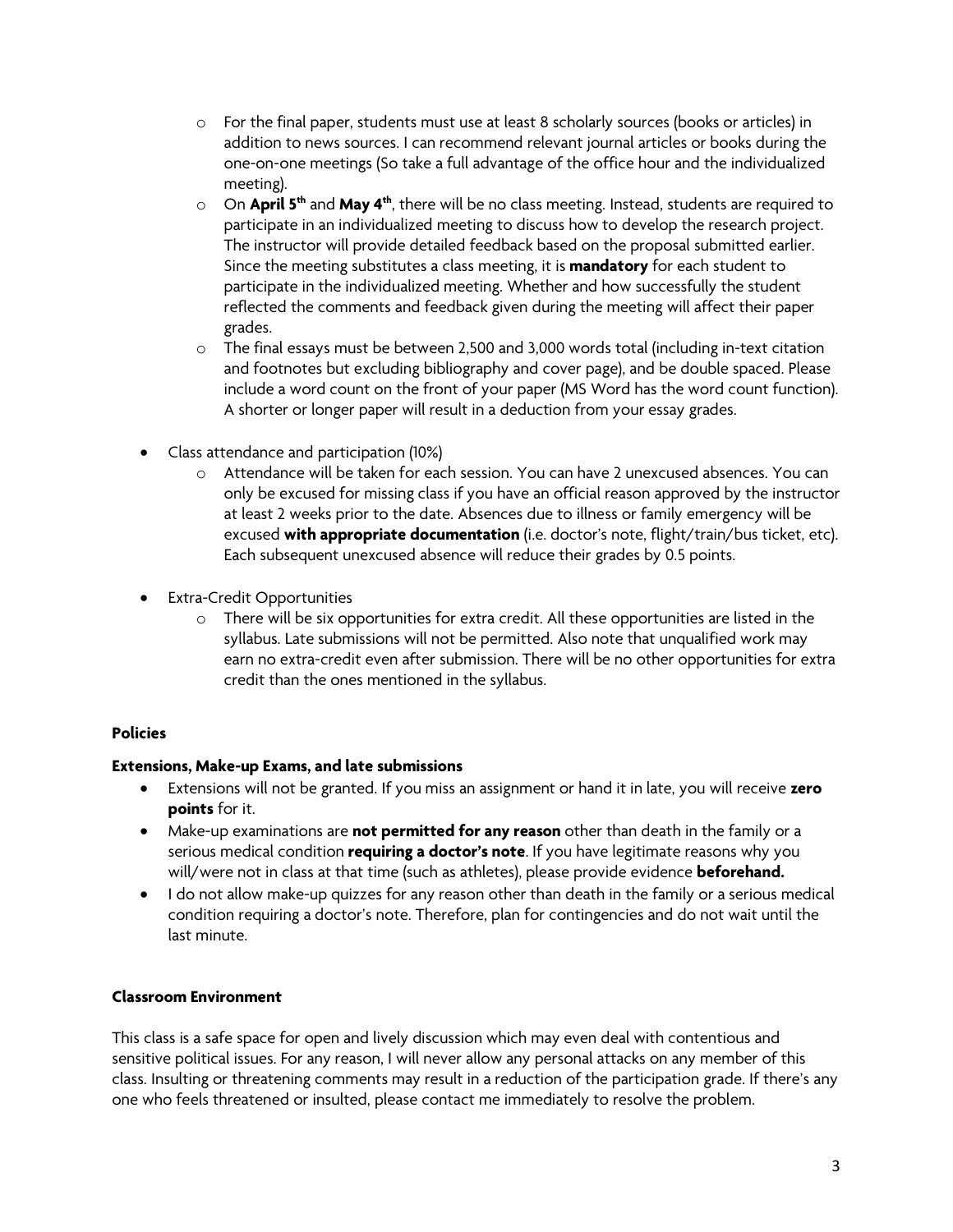- o For the final paper, students must use at least 8 scholarly sources (books or articles) in addition to news sources. I can recommend relevant journal articles or books during the one-on-one meetings (So take a full advantage of the office hour and the individualized meeting).
- o On **April 5th** and **May 4th**, there will be no class meeting. Instead, students are required to participate in an individualized meeting to discuss how to develop the research project. The instructor will provide detailed feedback based on the proposal submitted earlier. Since the meeting substitutes a class meeting, it is **mandatory** for each student to participate in the individualized meeting. Whether and how successfully the student reflected the comments and feedback given during the meeting will affect their paper grades.
- $\circ$  The final essays must be between 2,500 and 3,000 words total (including in-text citation and footnotes but excluding bibliography and cover page), and be double spaced. Please include a word count on the front of your paper (MS Word has the word count function). A shorter or longer paper will result in a deduction from your essay grades.
- Class attendance and participation (10%)
	- o Attendance will be taken for each session. You can have 2 unexcused absences. You can only be excused for missing class if you have an official reason approved by the instructor at least 2 weeks prior to the date. Absences due to illness or family emergency will be excused **with appropriate documentation** (i.e. doctor's note, flight/train/bus ticket, etc). Each subsequent unexcused absence will reduce their grades by 0.5 points.
- Extra-Credit Opportunities
	- o There will be six opportunities for extra credit. All these opportunities are listed in the syllabus. Late submissions will not be permitted. Also note that unqualified work may earn no extra-credit even after submission. There will be no other opportunities for extra credit than the ones mentioned in the syllabus.

### **Policies**

### **Extensions, Make-up Exams, and late submissions**

- Extensions will not be granted. If you miss an assignment or hand it in late, you will receive **zero points** for it.
- Make-up examinations are **not permitted for any reason** other than death in the family or a serious medical condition **requiring a doctor's note**. If you have legitimate reasons why you will/were not in class at that time (such as athletes), please provide evidence **beforehand.**
- I do not allow make-up quizzes for any reason other than death in the family or a serious medical condition requiring a doctor's note. Therefore, plan for contingencies and do not wait until the last minute.

### **Classroom Environment**

This class is a safe space for open and lively discussion which may even deal with contentious and sensitive political issues. For any reason, I will never allow any personal attacks on any member of this class. Insulting or threatening comments may result in a reduction of the participation grade. If there's any one who feels threatened or insulted, please contact me immediately to resolve the problem.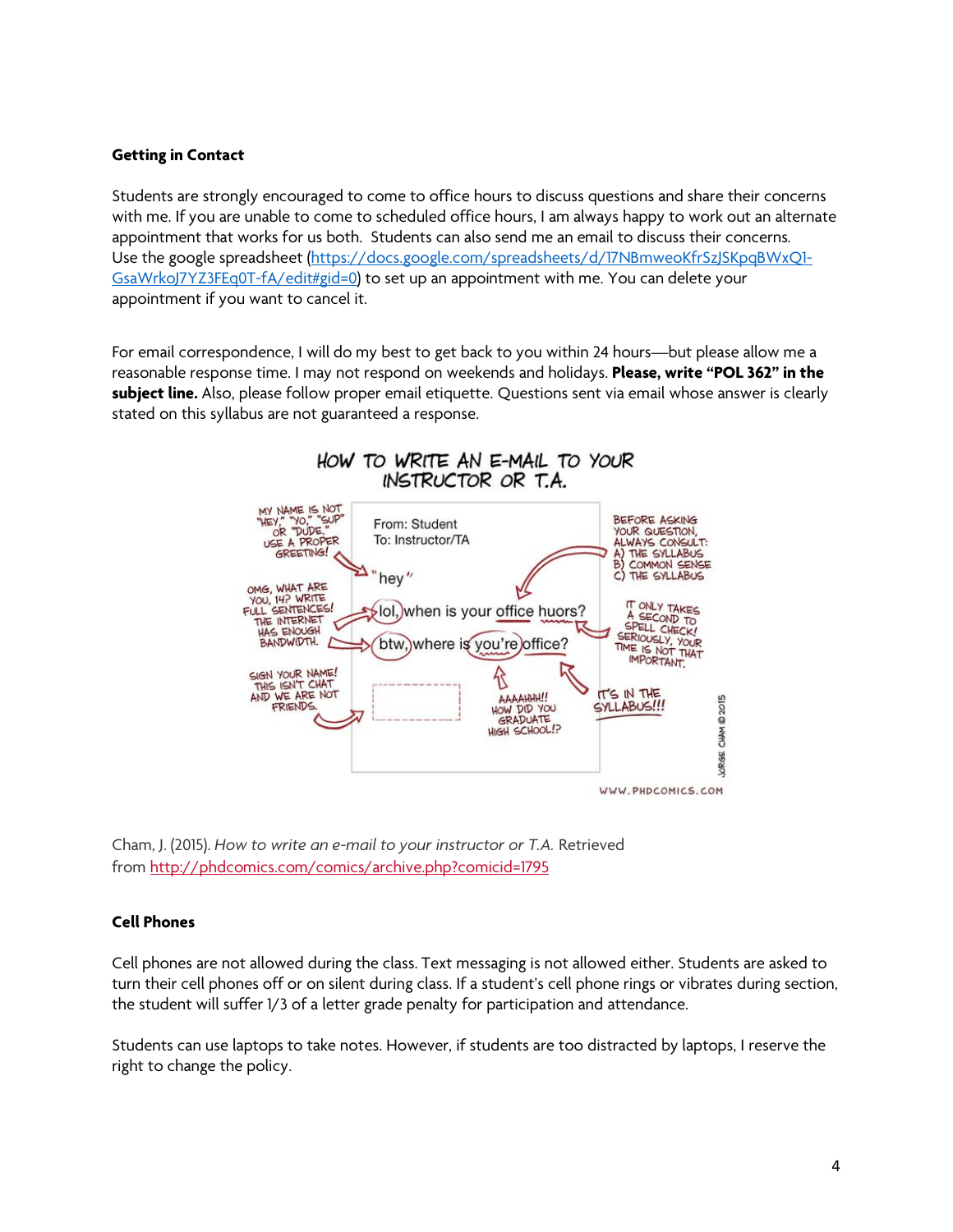#### **Getting in Contact**

Students are strongly encouraged to come to office hours to discuss questions and share their concerns with me. If you are unable to come to scheduled office hours, I am always happy to work out an alternate appointment that works for us both. Students can also send me an email to discuss their concerns. Use the google spreadsheet (https://docs.google.com/spreadsheets/d/17NBmweoKfrSzJSKpqBWxQ1-GsaWrkoJ7YZ3FEq0T-fA/edit#gid=0) to set up an appointment with me. You can delete your appointment if you want to cancel it.

For email correspondence, I will do my best to get back to you within 24 hours—but please allow me a reasonable response time. I may not respond on weekends and holidays. **Please, write "POL 362" in the subject line.** Also, please follow proper email etiquette. Questions sent via email whose answer is clearly stated on this syllabus are not guaranteed a response.



Cham, J. (2015). *How to write an e-mail to your instructor or T.A.* Retrieved from http://phdcomics.com/comics/archive.php?comicid=1795

#### **Cell Phones**

Cell phones are not allowed during the class. Text messaging is not allowed either. Students are asked to turn their cell phones off or on silent during class. If a student's cell phone rings or vibrates during section, the student will suffer 1/3 of a letter grade penalty for participation and attendance.

Students can use laptops to take notes. However, if students are too distracted by laptops, I reserve the right to change the policy.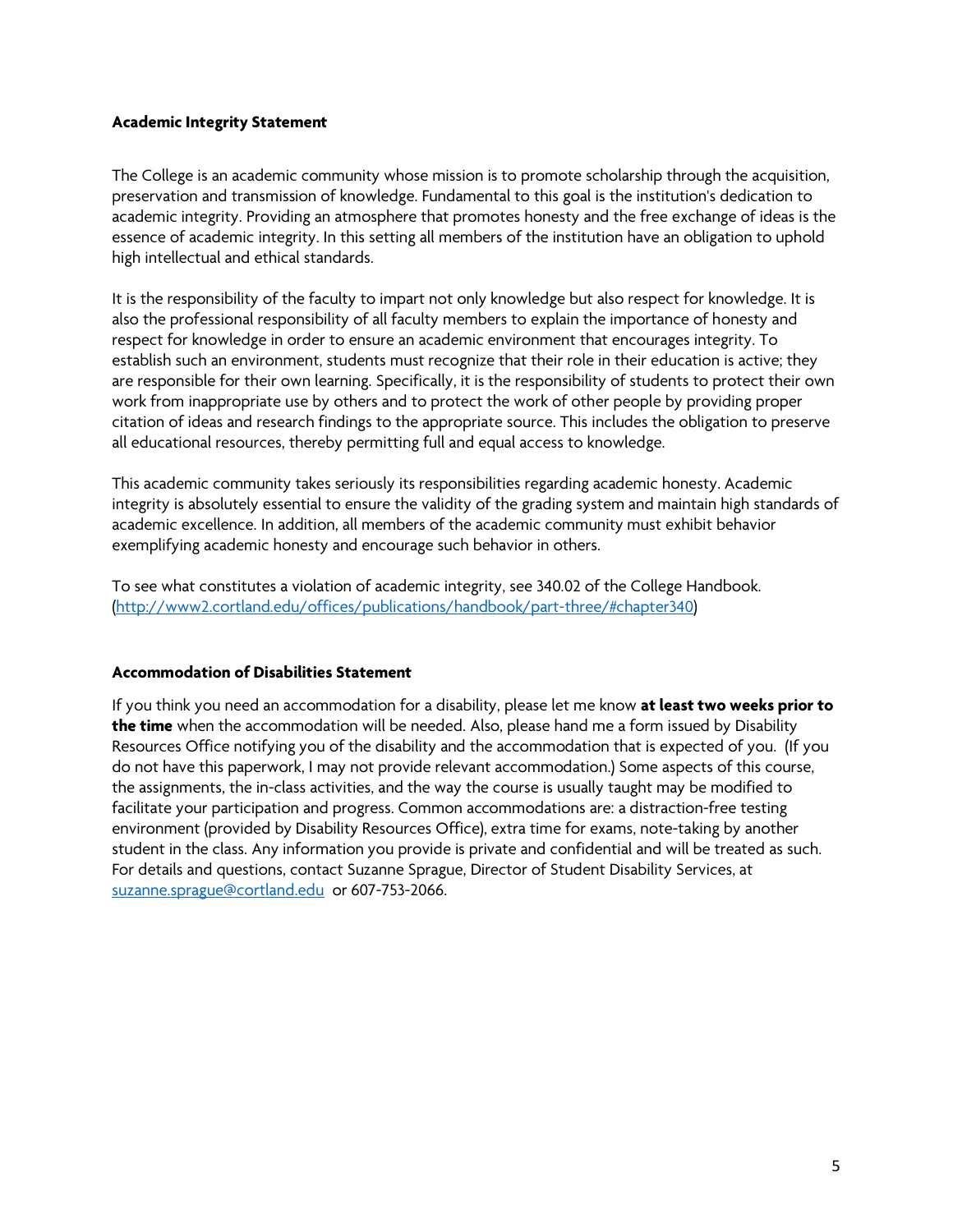#### **Academic Integrity Statement**

The College is an academic community whose mission is to promote scholarship through the acquisition, preservation and transmission of knowledge. Fundamental to this goal is the institution's dedication to academic integrity. Providing an atmosphere that promotes honesty and the free exchange of ideas is the essence of academic integrity. In this setting all members of the institution have an obligation to uphold high intellectual and ethical standards.

It is the responsibility of the faculty to impart not only knowledge but also respect for knowledge. It is also the professional responsibility of all faculty members to explain the importance of honesty and respect for knowledge in order to ensure an academic environment that encourages integrity. To establish such an environment, students must recognize that their role in their education is active; they are responsible for their own learning. Specifically, it is the responsibility of students to protect their own work from inappropriate use by others and to protect the work of other people by providing proper citation of ideas and research findings to the appropriate source. This includes the obligation to preserve all educational resources, thereby permitting full and equal access to knowledge.

This academic community takes seriously its responsibilities regarding academic honesty. Academic integrity is absolutely essential to ensure the validity of the grading system and maintain high standards of academic excellence. In addition, all members of the academic community must exhibit behavior exemplifying academic honesty and encourage such behavior in others.

To see what constitutes a violation of academic integrity, see 340.02 of the College Handbook. (http://www2.cortland.edu/offices/publications/handbook/part-three/#chapter340)

#### **Accommodation of Disabilities Statement**

If you think you need an accommodation for a disability, please let me know **at least two weeks prior to the time** when the accommodation will be needed. Also, please hand me a form issued by Disability Resources Office notifying you of the disability and the accommodation that is expected of you. (If you do not have this paperwork, I may not provide relevant accommodation.) Some aspects of this course, the assignments, the in-class activities, and the way the course is usually taught may be modified to facilitate your participation and progress. Common accommodations are: a distraction-free testing environment (provided by Disability Resources Office), extra time for exams, note-taking by another student in the class. Any information you provide is private and confidential and will be treated as such. For details and questions, contact Suzanne Sprague, Director of Student Disability Services, at suzanne.sprague@cortland.edu or 607-753-2066.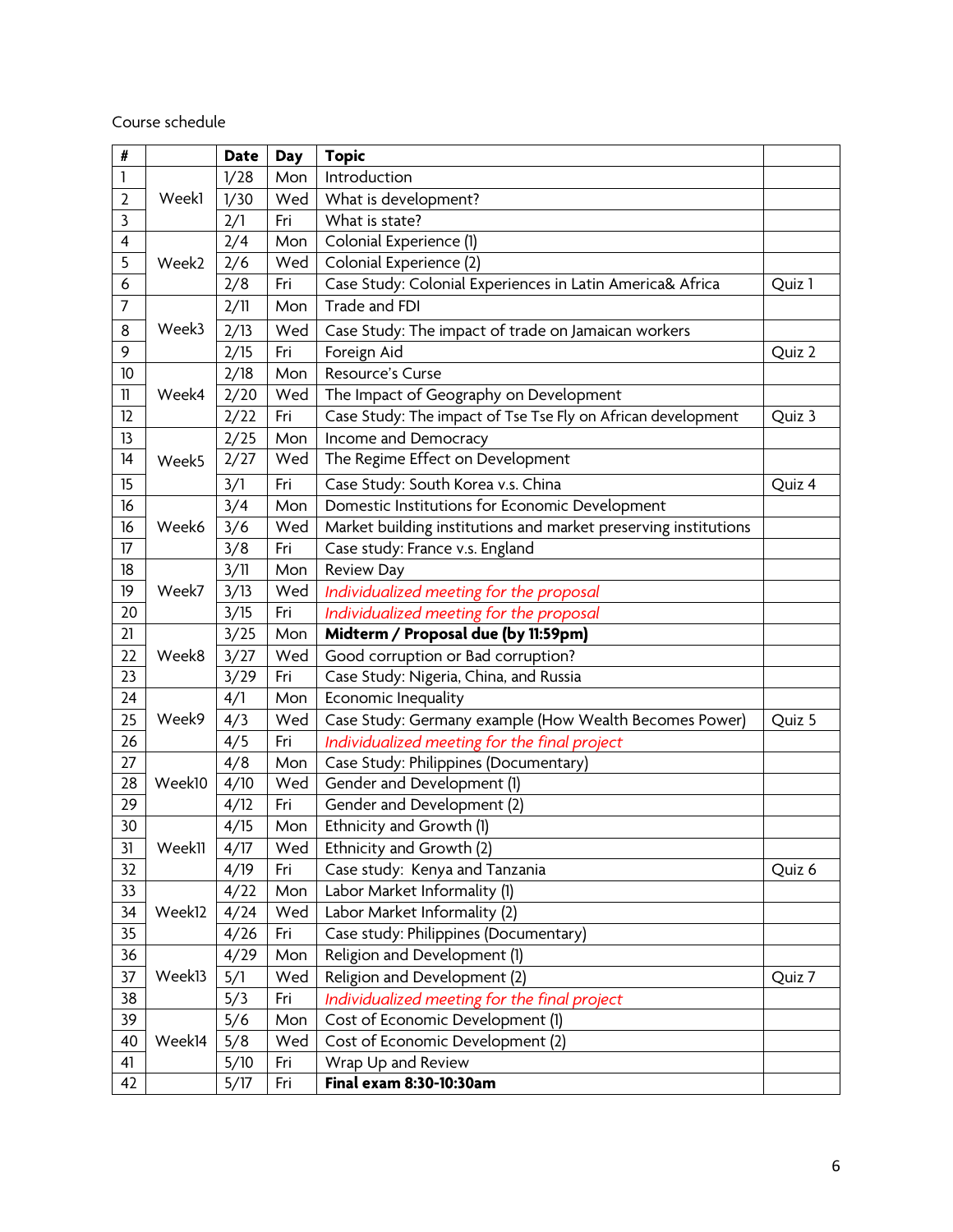Course schedule

| #              |                             | <b>Date</b> | <b>Day</b>                      | <b>Topic</b>                                                    |        |
|----------------|-----------------------------|-------------|---------------------------------|-----------------------------------------------------------------|--------|
| 1              |                             | 1/28        | Mon                             | Introduction                                                    |        |
| $\overline{2}$ | Week1                       | 1/30        | Wed                             | What is development?                                            |        |
| 3              | 2/1                         |             | Fri                             | What is state?                                                  |        |
| 4              | 2/4                         |             | Mon                             | Colonial Experience (1)                                         |        |
| 5              | Week2                       | 2/6         | Wed                             | Colonial Experience (2)                                         |        |
| 6              |                             | 2/8         | Fri                             | Case Study: Colonial Experiences in Latin America& Africa       | Quiz 1 |
| 7              |                             | 2/11        | Mon                             | Trade and FDI                                                   |        |
| 8              | Week3                       | 2/13        | Wed                             | Case Study: The impact of trade on Jamaican workers             |        |
| 9              |                             | 2/15        | Fri                             | Foreign Aid                                                     | Quiz 2 |
| 10             | $\mathbf{1}$<br>Week4<br>12 | 2/18        | Mon                             | Resource's Curse                                                |        |
|                |                             | 2/20        | Wed                             | The Impact of Geography on Development                          |        |
|                |                             | 2/22        | Fri                             | Case Study: The impact of Tse Tse Fly on African development    | Quiz 3 |
| 13             |                             | 2/25        | Mon                             | Income and Democracy                                            |        |
| 14             | Week5                       | 2/27        | Wed                             | The Regime Effect on Development                                |        |
| 15             | 3/1                         |             | Fri                             | Case Study: South Korea v.s. China                              | Quiz 4 |
| 16             |                             | 3/4         | Mon                             | Domestic Institutions for Economic Development                  |        |
| 16             | Week6                       | 3/6         | Wed                             | Market building institutions and market preserving institutions |        |
| 17             | 3/8                         | Fri         | Case study: France v.s. England |                                                                 |        |
| 18             | 3/11                        |             | Mon                             | <b>Review Day</b>                                               |        |
| 19             | Week7                       | 3/13        | Wed                             | Individualized meeting for the proposal                         |        |
| 20             |                             | 3/15        | Fri                             | Individualized meeting for the proposal                         |        |
| 21             |                             | 3/25        | Mon                             | Midterm / Proposal due (by 11:59pm)                             |        |
| 22             | Week8                       | 3/27        | Wed                             | Good corruption or Bad corruption?                              |        |
| 23             | 3/29                        |             | Fri                             | Case Study: Nigeria, China, and Russia                          |        |
| 24             |                             | 4/1         | Mon                             | Economic Inequality                                             |        |
| 25             | Week9                       | 4/3         | Wed                             | Case Study: Germany example (How Wealth Becomes Power)          | Quiz 5 |
| 26             |                             | 4/5         | Fri                             | Individualized meeting for the final project                    |        |
| 27             |                             | 4/8         | Mon                             | Case Study: Philippines (Documentary)                           |        |
| 28             | Week10                      | 4/10        | Wed                             | Gender and Development (1)                                      |        |
| 29             |                             | 4/12        | Fri                             | Gender and Development (2)                                      |        |
| 30             |                             | 4/15        | Mon                             | Ethnicity and Growth (1)                                        |        |
| 31             | Week11                      | 4/17        | Wed                             | Ethnicity and Growth (2)                                        |        |
| 32             | 4/19                        |             | Fri                             | Case study: Kenya and Tanzania                                  | Quiz 6 |
| 33             |                             | 4/22        | Mon                             | Labor Market Informality (1)                                    |        |
| 34             | Week12                      | 4/24        | Wed                             | Labor Market Informality (2)                                    |        |
| 35             |                             | 4/26        | Fri                             | Case study: Philippines (Documentary)                           |        |
| 36             |                             | 4/29        | Mon                             | Religion and Development (1)                                    |        |
| 37             | Week13                      | 5/1         | Wed                             | Religion and Development (2)                                    | Quiz 7 |
| 38             |                             | 5/3         | Fri                             | Individualized meeting for the final project                    |        |
| 39             |                             | 5/6         | Mon                             | Cost of Economic Development (1)                                |        |
| 40             | Week14                      | 5/8         | Wed                             | Cost of Economic Development (2)                                |        |
| 41             |                             | 5/10        | Fri                             | Wrap Up and Review                                              |        |
| 42             |                             | 5/17        | Fri                             | Final exam 8:30-10:30am                                         |        |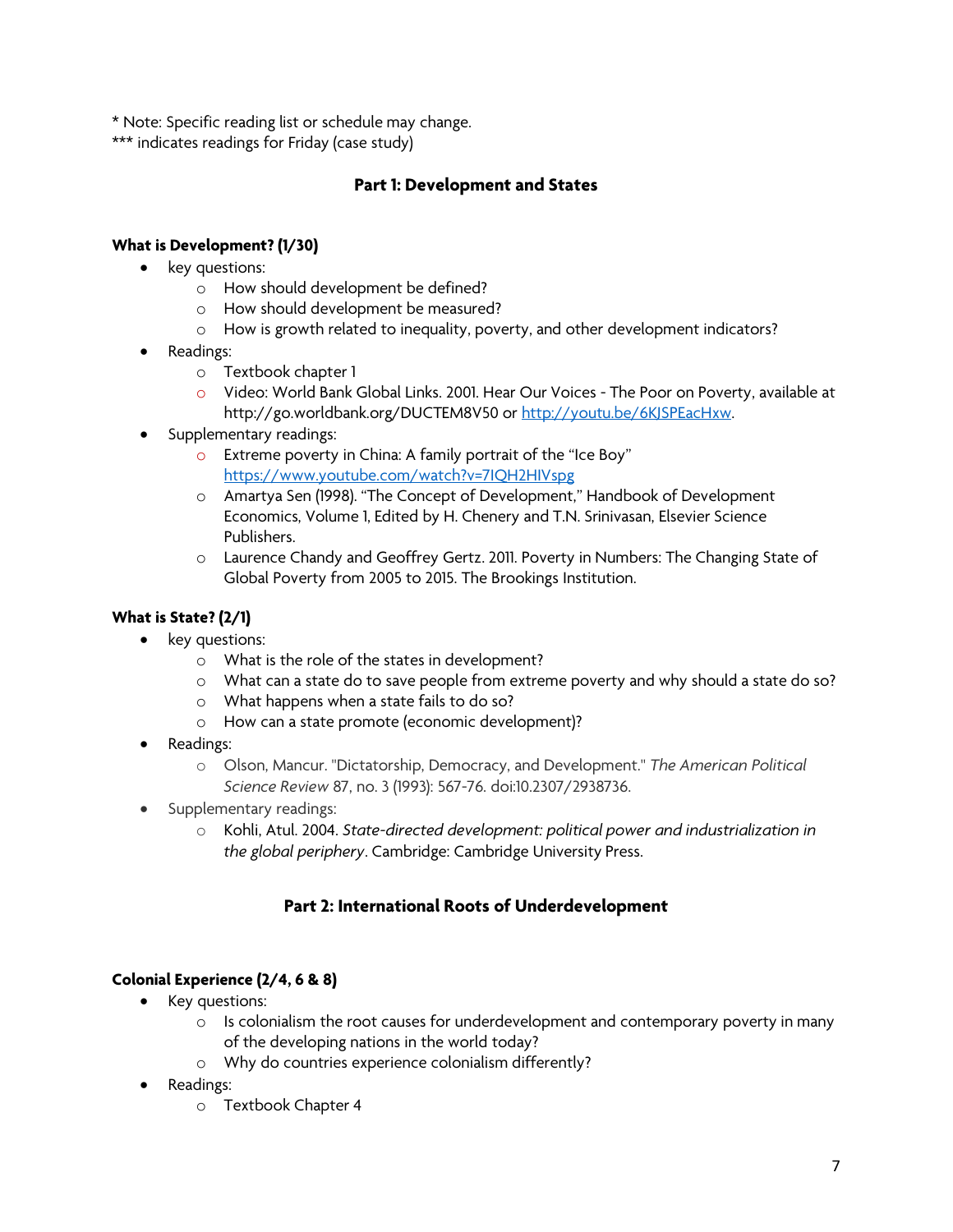\* Note: Specific reading list or schedule may change.

\*\*\* indicates readings for Friday (case study)

## **Part 1: Development and States**

## **What is Development? (1/30)**

- key questions:
	- o How should development be defined?
	- o How should development be measured?
	- o How is growth related to inequality, poverty, and other development indicators?
- Readings:
	- o Textbook chapter 1
	- o Video: World Bank Global Links. 2001. Hear Our Voices The Poor on Poverty, available at http://go.worldbank.org/DUCTEM8V50 or http://youtu.be/6KJSPEacHxw.
- Supplementary readings:
	- o Extreme poverty in China: A family portrait of the "Ice Boy" https://www.youtube.com/watch?v=7IQH2HIVspg
	- o Amartya Sen (1998). "The Concept of Development," Handbook of Development Economics, Volume 1, Edited by H. Chenery and T.N. Srinivasan, Elsevier Science Publishers.
	- o Laurence Chandy and Geoffrey Gertz. 2011. Poverty in Numbers: The Changing State of Global Poverty from 2005 to 2015. The Brookings Institution.

## **What is State? (2/1)**

- key questions:
	- o What is the role of the states in development?
	- o What can a state do to save people from extreme poverty and why should a state do so?
	- o What happens when a state fails to do so?
	- o How can a state promote (economic development)?
- Readings:
	- o Olson, Mancur. "Dictatorship, Democracy, and Development." *The American Political Science Review* 87, no. 3 (1993): 567-76. doi:10.2307/2938736.
- Supplementary readings:
	- o Kohli, Atul. 2004. *State-directed development: political power and industrialization in the global periphery*. Cambridge: Cambridge University Press.

## **Part 2: International Roots of Underdevelopment**

### **Colonial Experience (2/4, 6 & 8)**

- Key questions:
	- $\circ$  Is colonialism the root causes for underdevelopment and contemporary poverty in many of the developing nations in the world today?
	- o Why do countries experience colonialism differently?
- Readings:
	- o Textbook Chapter 4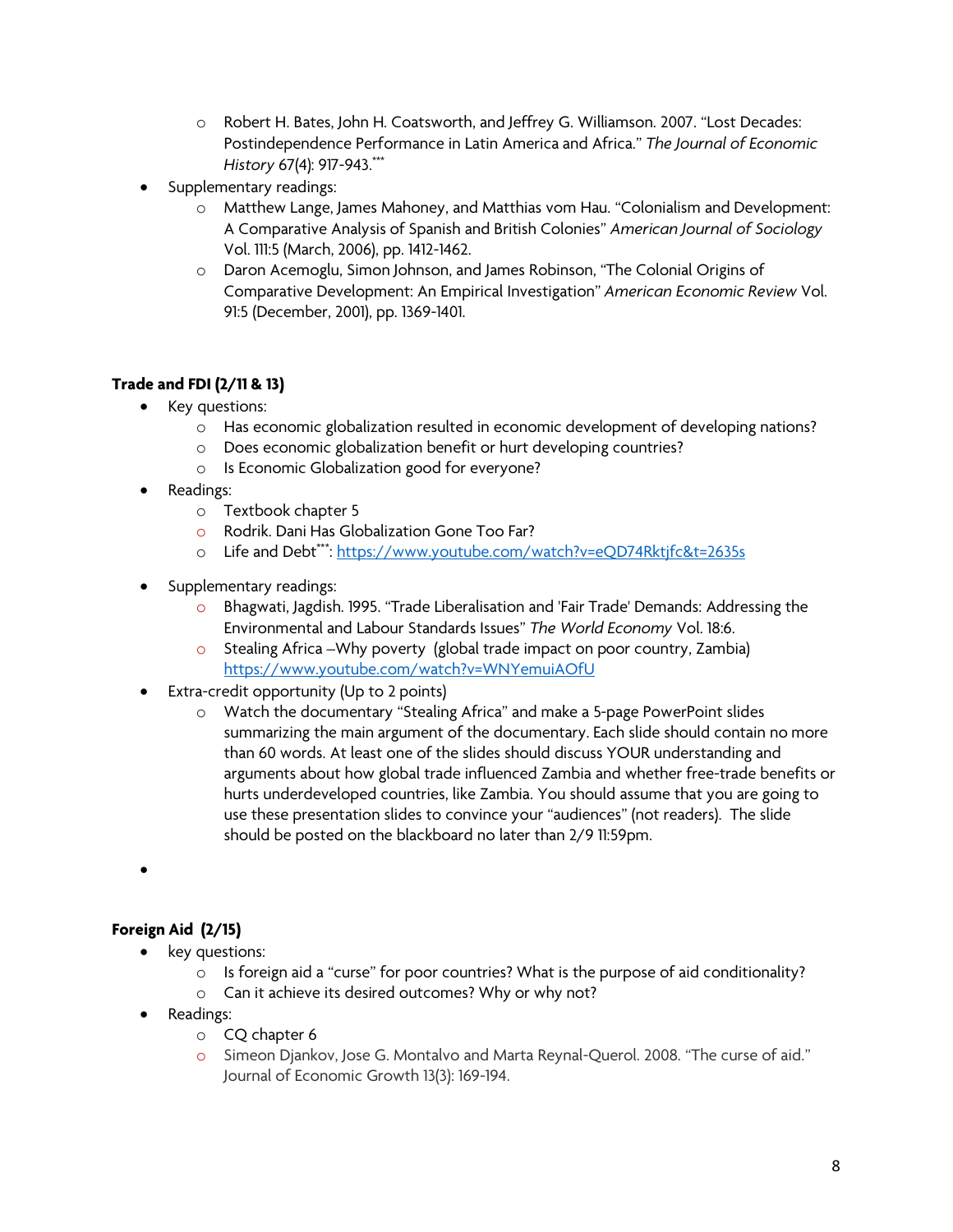- o Robert H. Bates, John H. Coatsworth, and Jeffrey G. Williamson. 2007. "Lost Decades: Postindependence Performance in Latin America and Africa." *The Journal of Economic History* 67(4): 917-943.\*\*\*
- Supplementary readings:
	- o Matthew Lange, James Mahoney, and Matthias vom Hau. "Colonialism and Development: A Comparative Analysis of Spanish and British Colonies" *American Journal of Sociology*  Vol. 111:5 (March, 2006), pp. 1412-1462.
	- o Daron Acemoglu, Simon Johnson, and James Robinson, "The Colonial Origins of Comparative Development: An Empirical Investigation" *American Economic Review* Vol. 91:5 (December, 2001), pp. 1369-1401.

## **Trade and FDI (2/11 & 13)**

- Key questions:
	- o Has economic globalization resulted in economic development of developing nations?
	- o Does economic globalization benefit or hurt developing countries?
	- o Is Economic Globalization good for everyone?
- Readings:
	- o Textbook chapter 5
	- o Rodrik. Dani Has Globalization Gone Too Far?
	- o Life and Debt\*\*\*: https://www.youtube.com/watch?v=eQD74Rktjfc&t=2635s
- Supplementary readings:
	- o Bhagwati, Jagdish. 1995. "Trade Liberalisation and 'Fair Trade' Demands: Addressing the Environmental and Labour Standards Issues" *The World Economy* Vol. 18:6.
	- o Stealing Africa –Why poverty (global trade impact on poor country, Zambia) https://www.youtube.com/watch?v=WNYemuiAOfU
- Extra-credit opportunity (Up to 2 points)
	- o Watch the documentary "Stealing Africa" and make a 5-page PowerPoint slides summarizing the main argument of the documentary. Each slide should contain no more than 60 words. At least one of the slides should discuss YOUR understanding and arguments about how global trade influenced Zambia and whether free-trade benefits or hurts underdeveloped countries, like Zambia. You should assume that you are going to use these presentation slides to convince your "audiences" (not readers). The slide should be posted on the blackboard no later than 2/9 11:59pm.
- •

## **Foreign Aid (2/15)**

- key questions:
	- $\circ$  Is foreign aid a "curse" for poor countries? What is the purpose of aid conditionality?
	- o Can it achieve its desired outcomes? Why or why not?
- Readings:
	- o CQ chapter 6
	- o Simeon Djankov, Jose G. Montalvo and Marta Reynal-Querol. 2008. "The curse of aid." Journal of Economic Growth 13(3): 169-194.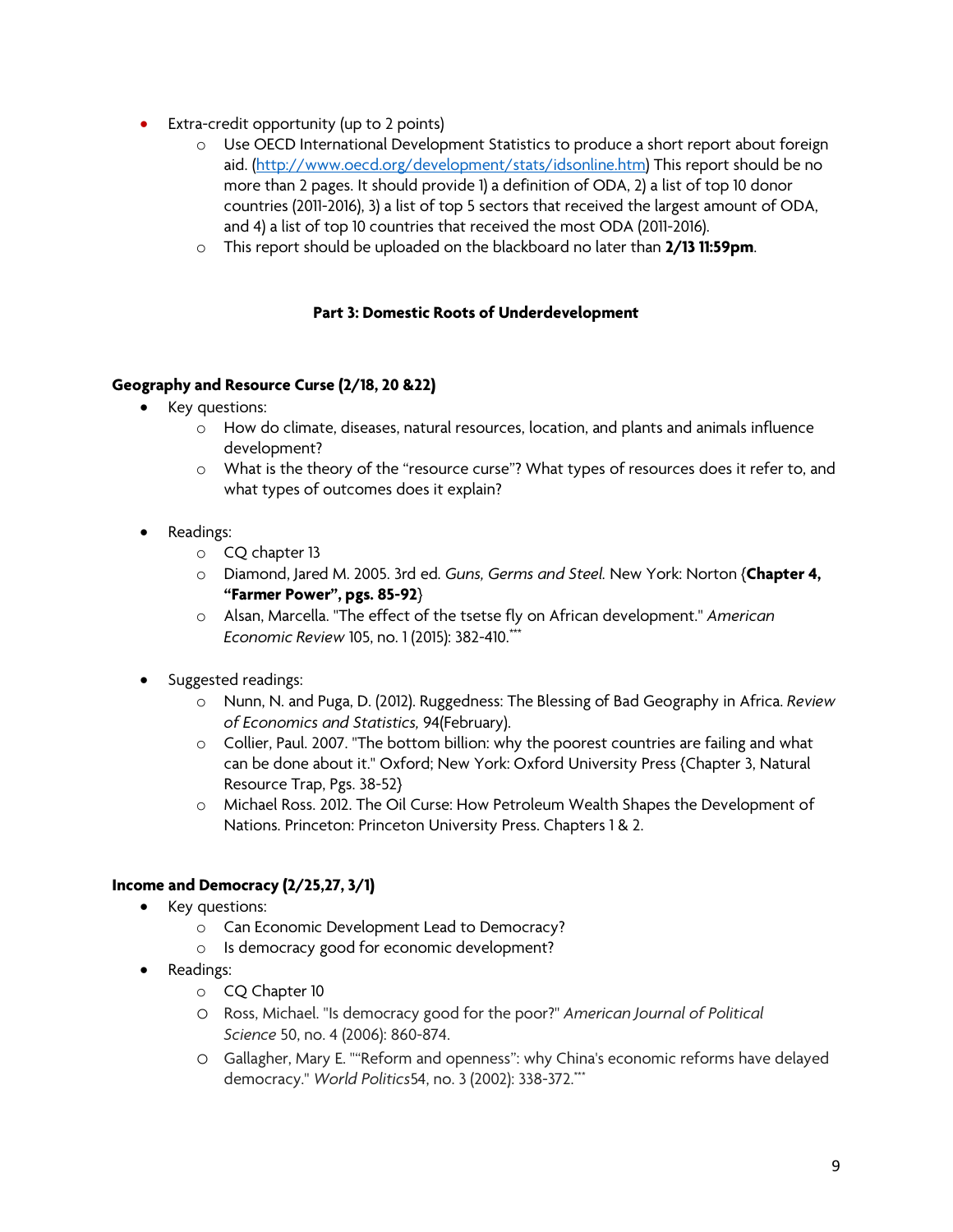- Extra-credit opportunity (up to 2 points)
	- o Use OECD International Development Statistics to produce a short report about foreign aid. (http://www.oecd.org/development/stats/idsonline.htm) This report should be no more than 2 pages. It should provide 1) a definition of ODA, 2) a list of top 10 donor countries (2011-2016), 3) a list of top 5 sectors that received the largest amount of ODA, and 4) a list of top 10 countries that received the most ODA (2011-2016).
	- o This report should be uploaded on the blackboard no later than **2/13 11:59pm**.

#### **Part 3: Domestic Roots of Underdevelopment**

#### **Geography and Resource Curse (2/18, 20 &22)**

- Key questions:
	- o How do climate, diseases, natural resources, location, and plants and animals influence development?
	- o What is the theory of the "resource curse"? What types of resources does it refer to, and what types of outcomes does it explain?
- Readings:
	- o CQ chapter 13
	- o Diamond, Jared M. 2005. 3rd ed. *Guns, Germs and Steel.* New York: Norton {**Chapter 4, "Farmer Power", pgs. 85-92**}
	- o Alsan, Marcella. "The effect of the tsetse fly on African development." *American Economic Review* 105, no. 1 (2015): 382-410.\*\*\*
- Suggested readings:
	- o Nunn, N. and Puga, D. (2012). Ruggedness: The Blessing of Bad Geography in Africa. *Review of Economics and Statistics,* 94(February).
	- o Collier, Paul. 2007. "The bottom billion: why the poorest countries are failing and what can be done about it." Oxford; New York: Oxford University Press {Chapter 3, Natural Resource Trap, Pgs. 38-52}
	- o Michael Ross. 2012. The Oil Curse: How Petroleum Wealth Shapes the Development of Nations. Princeton: Princeton University Press. Chapters 1 & 2.

### **Income and Democracy (2/25,27, 3/1)**

- Key questions:
	- o Can Economic Development Lead to Democracy?
	- o Is democracy good for economic development?
- Readings:
	- o CQ Chapter 10
	- o Ross, Michael. "Is democracy good for the poor?" *American Journal of Political Science* 50, no. 4 (2006): 860-874.
	- o Gallagher, Mary E. ""Reform and openness": why China's economic reforms have delayed democracy." *World Politics*54, no. 3 (2002): 338-372.\*\*\*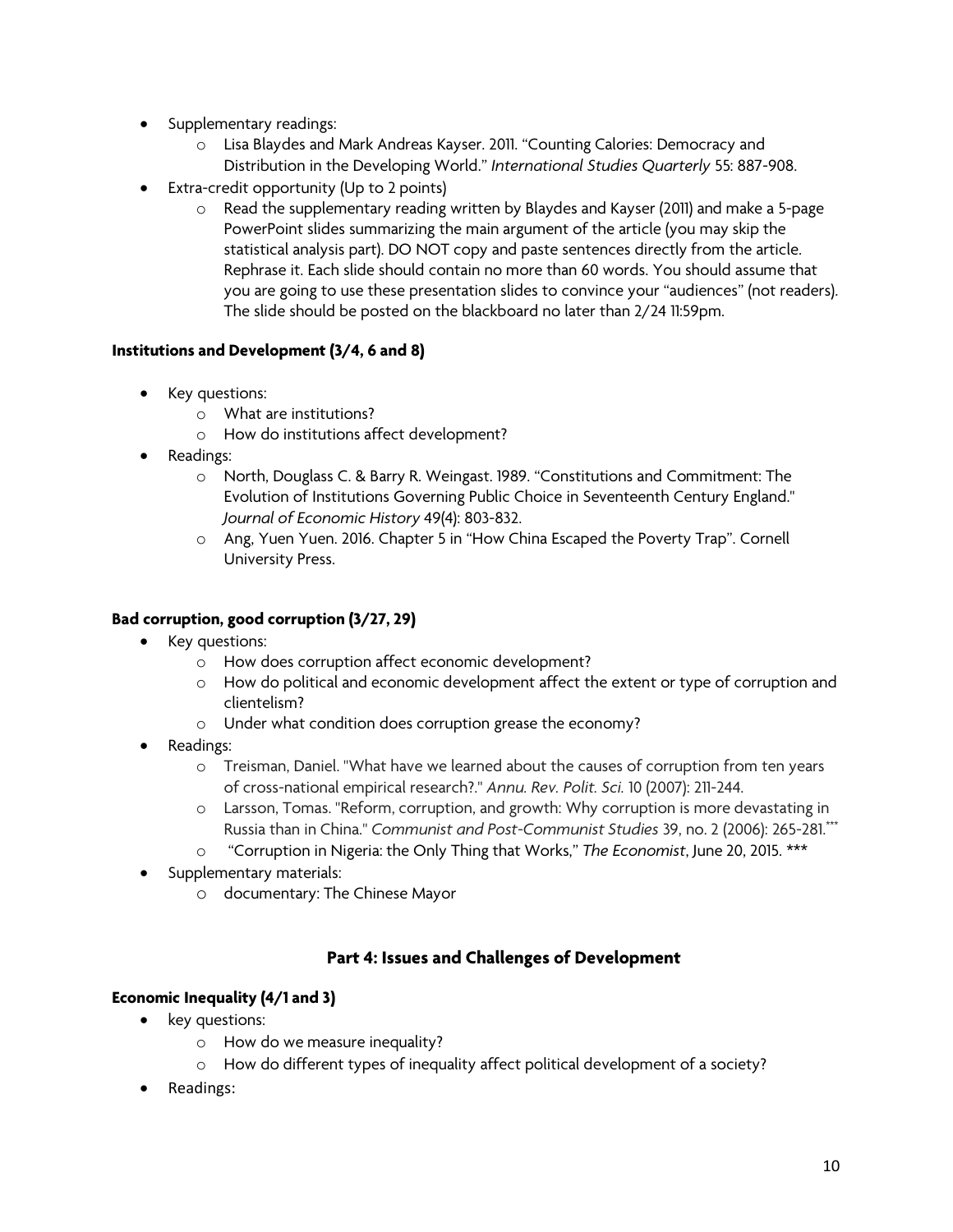- Supplementary readings:
	- o Lisa Blaydes and Mark Andreas Kayser. 2011. "Counting Calories: Democracy and Distribution in the Developing World." *International Studies Quarterly* 55: 887-908.
- Extra-credit opportunity (Up to 2 points)
	- o Read the supplementary reading written by Blaydes and Kayser (2011) and make a 5-page PowerPoint slides summarizing the main argument of the article (you may skip the statistical analysis part). DO NOT copy and paste sentences directly from the article. Rephrase it. Each slide should contain no more than 60 words. You should assume that you are going to use these presentation slides to convince your "audiences" (not readers). The slide should be posted on the blackboard no later than 2/24 11:59pm.

### **Institutions and Development (3/4, 6 and 8)**

- Key questions:
	- o What are institutions?
	- o How do institutions affect development?
- Readings:
	- o North, Douglass C. & Barry R. Weingast. 1989. "Constitutions and Commitment: The Evolution of Institutions Governing Public Choice in Seventeenth Century England." *Journal of Economic History* 49(4): 803-832.
	- o Ang, Yuen Yuen. 2016. Chapter 5 in "How China Escaped the Poverty Trap". Cornell University Press.

#### **Bad corruption, good corruption (3/27, 29)**

- Key questions:
	- o How does corruption affect economic development?
	- o How do political and economic development affect the extent or type of corruption and clientelism?
	- o Under what condition does corruption grease the economy?
- Readings:
	- o Treisman, Daniel. "What have we learned about the causes of corruption from ten years of cross-national empirical research?." *Annu. Rev. Polit. Sci.* 10 (2007): 211-244.
	- o Larsson, Tomas. "Reform, corruption, and growth: Why corruption is more devastating in Russia than in China." *Communist and Post-Communist Studies* 39, no. 2 (2006): 265-281.\*\*\*
	- o "Corruption in Nigeria: the Only Thing that Works," *The Economist*, June 20, 2015. \*\*\*
- Supplementary materials:
	- o documentary: The Chinese Mayor

### **Part 4: Issues and Challenges of Development**

#### **Economic Inequality (4/1 and 3)**

- key questions:
	- o How do we measure inequality?
	- o How do different types of inequality affect political development of a society?
- Readings: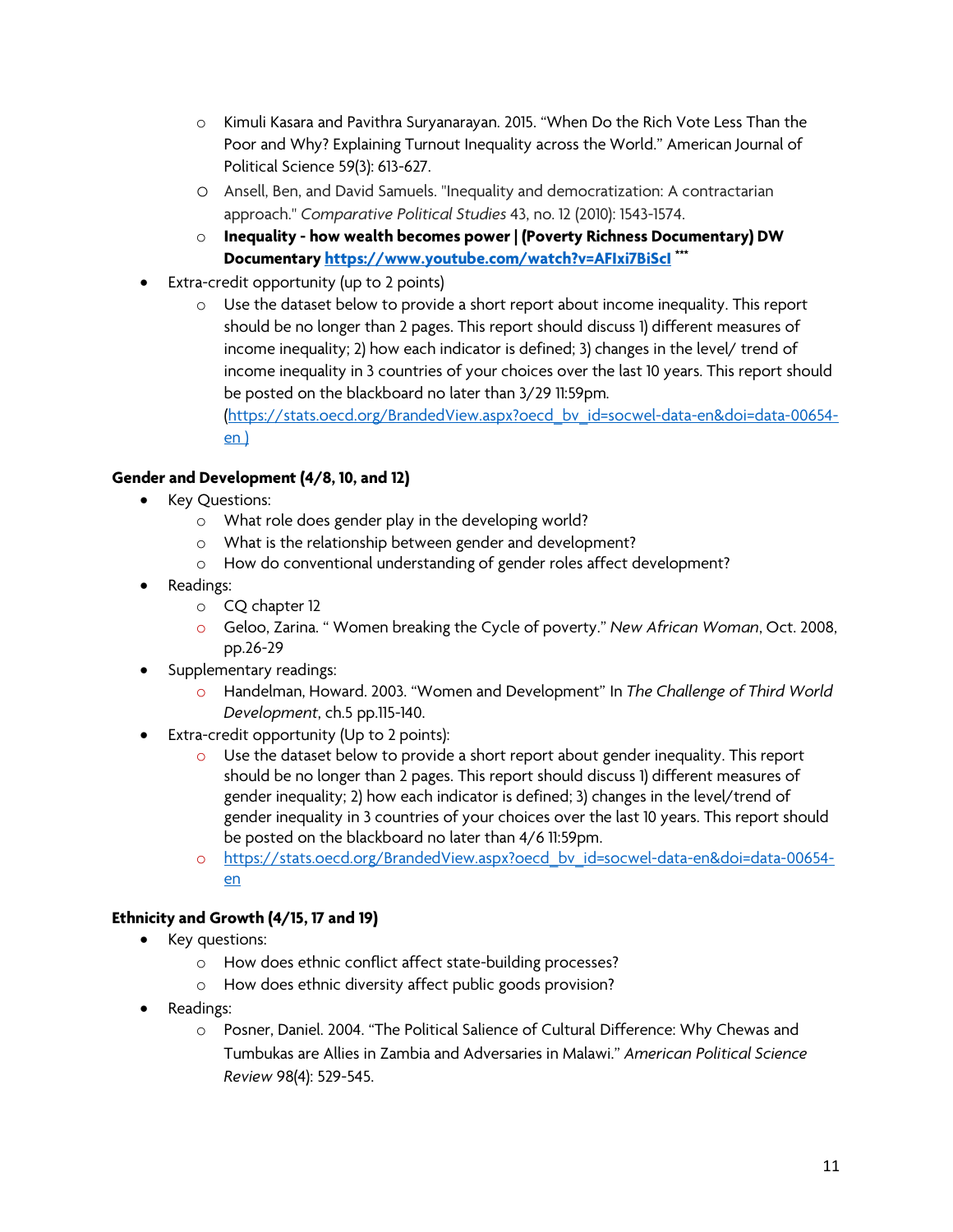- o Kimuli Kasara and Pavithra Suryanarayan. 2015. "When Do the Rich Vote Less Than the Poor and Why? Explaining Turnout Inequality across the World." American Journal of Political Science 59(3): 613-627.
- o Ansell, Ben, and David Samuels. "Inequality and democratization: A contractarian approach." *Comparative Political Studies* 43, no. 12 (2010): 1543-1574.
- o **Inequality - how wealth becomes power | (Poverty Richness Documentary) DW Documentary https://www.youtube.com/watch?v=AFIxi7BiScI \*\*\***
- Extra-credit opportunity (up to 2 points)
	- $\circ$  Use the dataset below to provide a short report about income inequality. This report should be no longer than 2 pages. This report should discuss 1) different measures of income inequality; 2) how each indicator is defined; 3) changes in the level/ trend of income inequality in 3 countries of your choices over the last 10 years. This report should be posted on the blackboard no later than 3/29 11:59pm.

(https://stats.oecd.org/BrandedView.aspx?oecd\_bv\_id=socwel-data-en&doi=data-00654 en )

## **Gender and Development (4/8, 10, and 12)**

- Key Questions:
	- o What role does gender play in the developing world?
	- o What is the relationship between gender and development?
	- o How do conventional understanding of gender roles affect development?
- Readings:
	- o CQ chapter 12
	- o Geloo, Zarina. " Women breaking the Cycle of poverty." *New African Woman*, Oct. 2008, pp.26-29
- Supplementary readings:
	- o Handelman, Howard. 2003. "Women and Development" In *The Challenge of Third World Development*, ch.5 pp.115-140.
- Extra-credit opportunity (Up to 2 points):
	- o Use the dataset below to provide a short report about gender inequality. This report should be no longer than 2 pages. This report should discuss 1) different measures of gender inequality; 2) how each indicator is defined; 3) changes in the level/trend of gender inequality in 3 countries of your choices over the last 10 years. This report should be posted on the blackboard no later than 4/6 11:59pm.
	- o https://stats.oecd.org/BrandedView.aspx?oecd bv id=socwel-data-en&doi=data-00654en

### **Ethnicity and Growth (4/15, 17 and 19)**

- Key questions:
	- o How does ethnic conflict affect state-building processes?
	- o How does ethnic diversity affect public goods provision?
- Readings:
	- o Posner, Daniel. 2004. "The Political Salience of Cultural Difference: Why Chewas and Tumbukas are Allies in Zambia and Adversaries in Malawi." *American Political Science Review* 98(4): 529-545.